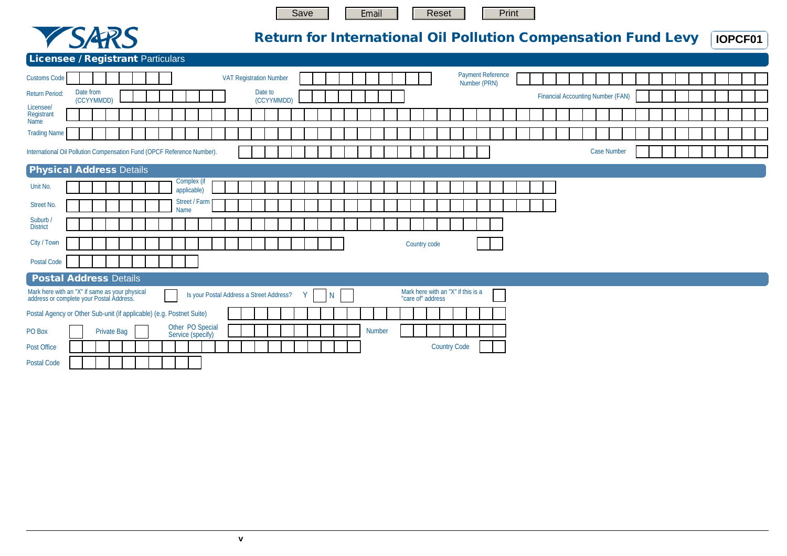

Email

Print

Reset



## **Return for International Oil Pollution Compensation Fund Levy**

**IOPCF01** 

| <b>Licensee / Registrant Particulars</b> |  |  |  |
|------------------------------------------|--|--|--|
|                                          |  |  |  |

| <b>Customs Code</b>                                                                        |                         |                    |  |                                       |                            |                                          |  |         | <b>VAT Registration Number</b> |   |              |  |        |  |                   |                                    |  | <b>Payment Reference</b><br>Number (PRN) |  |  |                                          |                    |  |  |  |  |  |
|--------------------------------------------------------------------------------------------|-------------------------|--------------------|--|---------------------------------------|----------------------------|------------------------------------------|--|---------|--------------------------------|---|--------------|--|--------|--|-------------------|------------------------------------|--|------------------------------------------|--|--|------------------------------------------|--------------------|--|--|--|--|--|
| Return Period:                                                                             | Date from<br>(CCYYMMDD) |                    |  |                                       |                            |                                          |  | Date to | (CCYYMMDD)                     |   |              |  |        |  |                   |                                    |  |                                          |  |  | <b>Financial Accounting Number (FAN)</b> |                    |  |  |  |  |  |
| Licensee/<br>Registrant<br>Name                                                            |                         |                    |  |                                       |                            |                                          |  |         |                                |   |              |  |        |  |                   |                                    |  |                                          |  |  |                                          |                    |  |  |  |  |  |
| <b>Trading Name</b>                                                                        |                         |                    |  |                                       |                            |                                          |  |         |                                |   |              |  |        |  |                   |                                    |  |                                          |  |  |                                          |                    |  |  |  |  |  |
| International Oil Pollution Compensation Fund (OPCF Reference Number).                     |                         |                    |  |                                       |                            |                                          |  |         |                                |   |              |  |        |  |                   |                                    |  |                                          |  |  |                                          | <b>Case Number</b> |  |  |  |  |  |
| <b>Physical Address Details</b>                                                            |                         |                    |  |                                       |                            |                                          |  |         |                                |   |              |  |        |  |                   |                                    |  |                                          |  |  |                                          |                    |  |  |  |  |  |
| Unit No.                                                                                   |                         |                    |  |                                       | Complex (if<br>applicable) |                                          |  |         |                                |   |              |  |        |  |                   |                                    |  |                                          |  |  |                                          |                    |  |  |  |  |  |
| <b>Street No.</b>                                                                          |                         |                    |  | <b>Name</b>                           | Street / Farm              |                                          |  |         |                                |   |              |  |        |  |                   |                                    |  |                                          |  |  |                                          |                    |  |  |  |  |  |
| Suburb /<br><b>District</b>                                                                |                         |                    |  |                                       |                            |                                          |  |         |                                |   |              |  |        |  |                   |                                    |  |                                          |  |  |                                          |                    |  |  |  |  |  |
| City / Town                                                                                |                         |                    |  |                                       |                            |                                          |  |         |                                |   |              |  |        |  | Country code      |                                    |  |                                          |  |  |                                          |                    |  |  |  |  |  |
| <b>Postal Code</b>                                                                         |                         |                    |  |                                       |                            |                                          |  |         |                                |   |              |  |        |  |                   |                                    |  |                                          |  |  |                                          |                    |  |  |  |  |  |
| <b>Postal Address Details</b>                                                              |                         |                    |  |                                       |                            |                                          |  |         |                                |   |              |  |        |  |                   |                                    |  |                                          |  |  |                                          |                    |  |  |  |  |  |
| Mark here with an "X" if same as your physical<br>address or complete your Postal Address. |                         |                    |  |                                       |                            | Is your Postal Address a Street Address? |  |         |                                | Y | $\mathsf{N}$ |  |        |  | "care of" address | Mark here with an "X" if this is a |  |                                          |  |  |                                          |                    |  |  |  |  |  |
| Postal Agency or Other Sub-unit (if applicable) (e.g. Postnet Suite)                       |                         |                    |  |                                       |                            |                                          |  |         |                                |   |              |  |        |  |                   |                                    |  |                                          |  |  |                                          |                    |  |  |  |  |  |
| PO Box                                                                                     |                         | <b>Private Bag</b> |  | Other PO Special<br>Service (specify) |                            |                                          |  |         |                                |   |              |  | Number |  |                   |                                    |  |                                          |  |  |                                          |                    |  |  |  |  |  |
| Post Office                                                                                |                         |                    |  |                                       |                            |                                          |  |         |                                |   |              |  |        |  |                   | <b>Country Code</b>                |  |                                          |  |  |                                          |                    |  |  |  |  |  |
| Postal Code                                                                                |                         |                    |  |                                       |                            |                                          |  |         |                                |   |              |  |        |  |                   |                                    |  |                                          |  |  |                                          |                    |  |  |  |  |  |